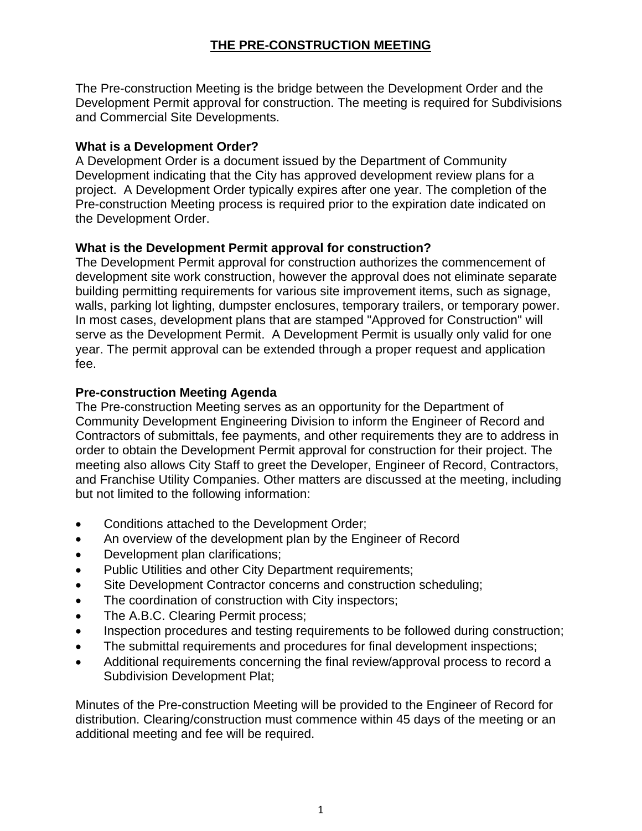# **THE PRE-CONSTRUCTION MEETING**

The Pre-construction Meeting is the bridge between the Development Order and the Development Permit approval for construction. The meeting is required for Subdivisions and Commercial Site Developments.

### **What is a Development Order?**

A Development Order is a document issued by the Department of Community Development indicating that the City has approved development review plans for a project. A Development Order typically expires after one year. The completion of the Pre-construction Meeting process is required prior to the expiration date indicated on the Development Order.

## **What is the Development Permit approval for construction?**

The Development Permit approval for construction authorizes the commencement of development site work construction, however the approval does not eliminate separate building permitting requirements for various site improvement items, such as signage, walls, parking lot lighting, dumpster enclosures, temporary trailers, or temporary power. In most cases, development plans that are stamped "Approved for Construction" will serve as the Development Permit. A Development Permit is usually only valid for one year. The permit approval can be extended through a proper request and application fee.

### **Pre-construction Meeting Agenda**

The Pre-construction Meeting serves as an opportunity for the Department of Community Development Engineering Division to inform the Engineer of Record and Contractors of submittals, fee payments, and other requirements they are to address in order to obtain the Development Permit approval for construction for their project. The meeting also allows City Staff to greet the Developer, Engineer of Record, Contractors, and Franchise Utility Companies. Other matters are discussed at the meeting, including but not limited to the following information:

- Conditions attached to the Development Order;
- An overview of the development plan by the Engineer of Record
- Development plan clarifications;
- Public Utilities and other City Department requirements;
- Site Development Contractor concerns and construction scheduling;
- The coordination of construction with City inspectors;
- The A.B.C. Clearing Permit process;
- Inspection procedures and testing requirements to be followed during construction;
- The submittal requirements and procedures for final development inspections;
- Additional requirements concerning the final review/approval process to record a Subdivision Development Plat;

Minutes of the Pre-construction Meeting will be provided to the Engineer of Record for distribution. Clearing/construction must commence within 45 days of the meeting or an additional meeting and fee will be required.